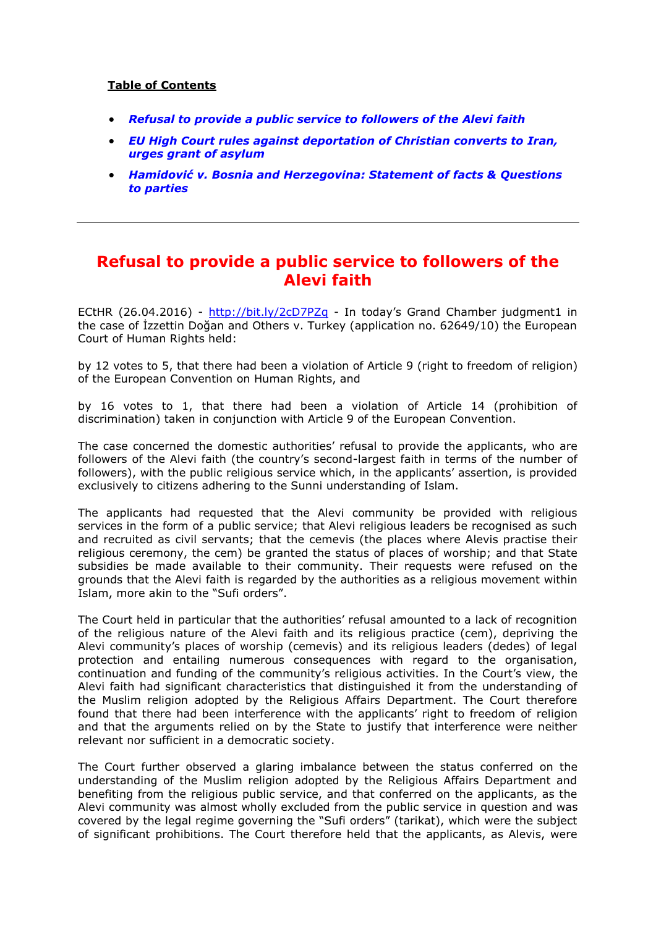# **Table of Contents**

- *[Refusal to provide a public service to followers of the Alevi faith](#page-0-0)*
- *[EU High Court rules against deportation of Christian converts to Iran,](#page-5-0)  [urges grant of asylum](#page-5-0)*
- *[Hamidović v. Bosnia and Herzegovina: Statement of fa](#page-6-0)cts & Questions [to parties](#page-6-0)*

# <span id="page-0-0"></span>**Refusal to provide a public service to followers of the Alevi faith**

ECtHR (26.04.2016) - <http://bit.ly/2cD7PZq> - In today's Grand Chamber judgment1 in the case of İzzettin Doğan and Others v. Turkey (application no. 62649/10) the European Court of Human Rights held:

by 12 votes to 5, that there had been a violation of Article 9 (right to freedom of religion) of the European Convention on Human Rights, and

by 16 votes to 1, that there had been a violation of Article 14 (prohibition of discrimination) taken in conjunction with Article 9 of the European Convention.

The case concerned the domestic authorities' refusal to provide the applicants, who are followers of the Alevi faith (the country's second-largest faith in terms of the number of followers), with the public religious service which, in the applicants' assertion, is provided exclusively to citizens adhering to the Sunni understanding of Islam.

The applicants had requested that the Alevi community be provided with religious services in the form of a public service; that Alevi religious leaders be recognised as such and recruited as civil servants; that the cemevis (the places where Alevis practise their religious ceremony, the cem) be granted the status of places of worship; and that State subsidies be made available to their community. Their requests were refused on the grounds that the Alevi faith is regarded by the authorities as a religious movement within Islam, more akin to the "Sufi orders".

The Court held in particular that the authorities' refusal amounted to a lack of recognition of the religious nature of the Alevi faith and its religious practice (cem), depriving the Alevi community's places of worship (cemevis) and its religious leaders (dedes) of legal protection and entailing numerous consequences with regard to the organisation, continuation and funding of the community's religious activities. In the Court's view, the Alevi faith had significant characteristics that distinguished it from the understanding of the Muslim religion adopted by the Religious Affairs Department. The Court therefore found that there had been interference with the applicants' right to freedom of religion and that the arguments relied on by the State to justify that interference were neither relevant nor sufficient in a democratic society.

The Court further observed a glaring imbalance between the status conferred on the understanding of the Muslim religion adopted by the Religious Affairs Department and benefiting from the religious public service, and that conferred on the applicants, as the Alevi community was almost wholly excluded from the public service in question and was covered by the legal regime governing the "Sufi orders" (tarikat), which were the subject of significant prohibitions. The Court therefore held that the applicants, as Alevis, were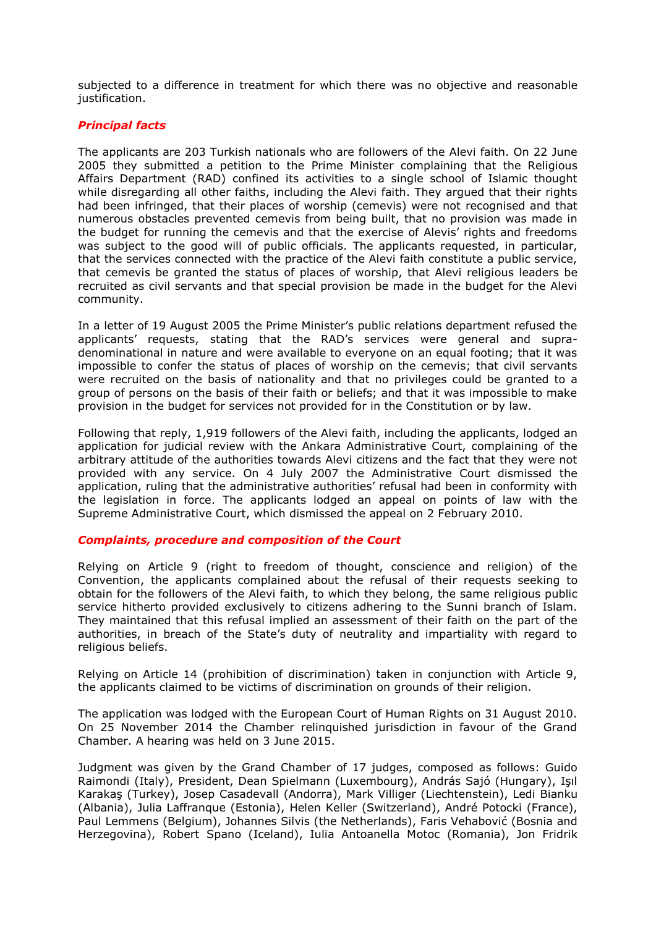subjected to a difference in treatment for which there was no objective and reasonable justification.

# *Principal facts*

The applicants are 203 Turkish nationals who are followers of the Alevi faith. On 22 June 2005 they submitted a petition to the Prime Minister complaining that the Religious Affairs Department (RAD) confined its activities to a single school of Islamic thought while disregarding all other faiths, including the Alevi faith. They argued that their rights had been infringed, that their places of worship (cemevis) were not recognised and that numerous obstacles prevented cemevis from being built, that no provision was made in the budget for running the cemevis and that the exercise of Alevis' rights and freedoms was subject to the good will of public officials. The applicants requested, in particular, that the services connected with the practice of the Alevi faith constitute a public service, that cemevis be granted the status of places of worship, that Alevi religious leaders be recruited as civil servants and that special provision be made in the budget for the Alevi community.

In a letter of 19 August 2005 the Prime Minister's public relations department refused the applicants' requests, stating that the RAD's services were general and supradenominational in nature and were available to everyone on an equal footing; that it was impossible to confer the status of places of worship on the cemevis; that civil servants were recruited on the basis of nationality and that no privileges could be granted to a group of persons on the basis of their faith or beliefs; and that it was impossible to make provision in the budget for services not provided for in the Constitution or by law.

Following that reply, 1,919 followers of the Alevi faith, including the applicants, lodged an application for judicial review with the Ankara Administrative Court, complaining of the arbitrary attitude of the authorities towards Alevi citizens and the fact that they were not provided with any service. On 4 July 2007 the Administrative Court dismissed the application, ruling that the administrative authorities' refusal had been in conformity with the legislation in force. The applicants lodged an appeal on points of law with the Supreme Administrative Court, which dismissed the appeal on 2 February 2010.

### *Complaints, procedure and composition of the Court*

Relying on Article 9 (right to freedom of thought, conscience and religion) of the Convention, the applicants complained about the refusal of their requests seeking to obtain for the followers of the Alevi faith, to which they belong, the same religious public service hitherto provided exclusively to citizens adhering to the Sunni branch of Islam. They maintained that this refusal implied an assessment of their faith on the part of the authorities, in breach of the State's duty of neutrality and impartiality with regard to religious beliefs.

Relying on Article 14 (prohibition of discrimination) taken in conjunction with Article 9, the applicants claimed to be victims of discrimination on grounds of their religion.

The application was lodged with the European Court of Human Rights on 31 August 2010. On 25 November 2014 the Chamber relinquished jurisdiction in favour of the Grand Chamber. A hearing was held on 3 June 2015.

Judgment was given by the Grand Chamber of 17 judges, composed as follows: Guido Raimondi (Italy), President, Dean Spielmann (Luxembourg), András Sajó (Hungary), Işıl Karakaş (Turkey), Josep Casadevall (Andorra), Mark Villiger (Liechtenstein), Ledi Bianku (Albania), Julia Laffranque (Estonia), Helen Keller (Switzerland), André Potocki (France), Paul Lemmens (Belgium), Johannes Silvis (the Netherlands), Faris Vehabović (Bosnia and Herzegovina), Robert Spano (Iceland), Iulia Antoanella Motoc (Romania), Jon Fridrik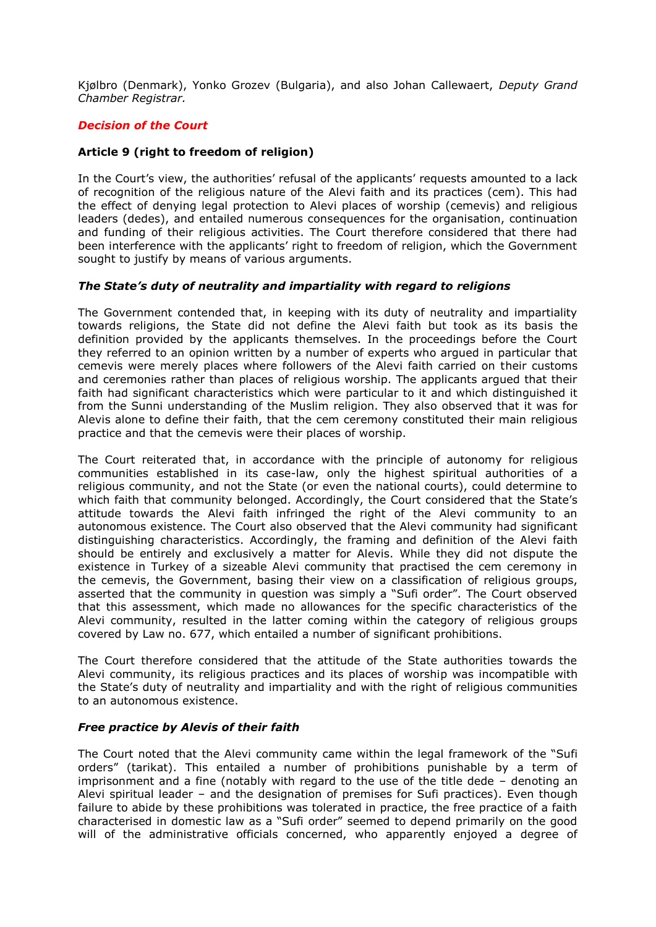Kjølbro (Denmark), Yonko Grozev (Bulgaria), and also Johan Callewaert, *Deputy Grand Chamber Registrar.*

# *Decision of the Court*

### **Article 9 (right to freedom of religion)**

In the Court's view, the authorities' refusal of the applicants' requests amounted to a lack of recognition of the religious nature of the Alevi faith and its practices (cem). This had the effect of denying legal protection to Alevi places of worship (cemevis) and religious leaders (dedes), and entailed numerous consequences for the organisation, continuation and funding of their religious activities. The Court therefore considered that there had been interference with the applicants' right to freedom of religion, which the Government sought to justify by means of various arguments.

### *The State's duty of neutrality and impartiality with regard to religions*

The Government contended that, in keeping with its duty of neutrality and impartiality towards religions, the State did not define the Alevi faith but took as its basis the definition provided by the applicants themselves. In the proceedings before the Court they referred to an opinion written by a number of experts who argued in particular that cemevis were merely places where followers of the Alevi faith carried on their customs and ceremonies rather than places of religious worship. The applicants argued that their faith had significant characteristics which were particular to it and which distinguished it from the Sunni understanding of the Muslim religion. They also observed that it was for Alevis alone to define their faith, that the cem ceremony constituted their main religious practice and that the cemevis were their places of worship.

The Court reiterated that, in accordance with the principle of autonomy for religious communities established in its case-law, only the highest spiritual authorities of a religious community, and not the State (or even the national courts), could determine to which faith that community belonged. Accordingly, the Court considered that the State's attitude towards the Alevi faith infringed the right of the Alevi community to an autonomous existence. The Court also observed that the Alevi community had significant distinguishing characteristics. Accordingly, the framing and definition of the Alevi faith should be entirely and exclusively a matter for Alevis. While they did not dispute the existence in Turkey of a sizeable Alevi community that practised the cem ceremony in the cemevis, the Government, basing their view on a classification of religious groups, asserted that the community in question was simply a "Sufi order". The Court observed that this assessment, which made no allowances for the specific characteristics of the Alevi community, resulted in the latter coming within the category of religious groups covered by Law no. 677, which entailed a number of significant prohibitions.

The Court therefore considered that the attitude of the State authorities towards the Alevi community, its religious practices and its places of worship was incompatible with the State's duty of neutrality and impartiality and with the right of religious communities to an autonomous existence.

### *Free practice by Alevis of their faith*

The Court noted that the Alevi community came within the legal framework of the "Sufi orders" (tarikat). This entailed a number of prohibitions punishable by a term of imprisonment and a fine (notably with regard to the use of the title dede – denoting an Alevi spiritual leader – and the designation of premises for Sufi practices). Even though failure to abide by these prohibitions was tolerated in practice, the free practice of a faith characterised in domestic law as a "Sufi order" seemed to depend primarily on the good will of the administrative officials concerned, who apparently enjoyed a degree of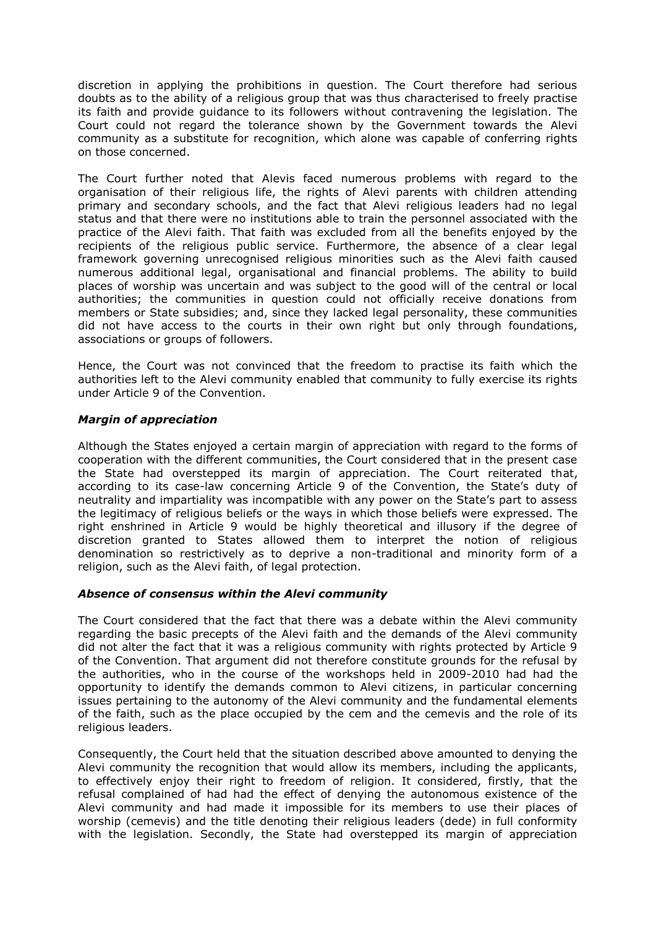discretion in applying the prohibitions in question. The Court therefore had serious doubts as to the ability of a religious group that was thus characterised to freely practise its faith and provide guidance to its followers without contravening the legislation. The Court could not regard the tolerance shown by the Government towards the Alevi community as a substitute for recognition, which alone was capable of conferring rights on those concerned.

The Court further noted that Alevis faced numerous problems with regard to the organisation of their religious life, the rights of Alevi parents with children attending primary and secondary schools, and the fact that Alevi religious leaders had no legal status and that there were no institutions able to train the personnel associated with the practice of the Alevi faith. That faith was excluded from all the benefits enjoyed by the recipients of the religious public service. Furthermore, the absence of a clear legal framework governing unrecognised religious minorities such as the Alevi faith caused numerous additional legal, organisational and financial problems. The ability to build places of worship was uncertain and was subject to the good will of the central or local authorities; the communities in question could not officially receive donations from members or State subsidies; and, since they lacked legal personality, these communities did not have access to the courts in their own right but only through foundations, associations or groups of followers.

Hence, the Court was not convinced that the freedom to practise its faith which the authorities left to the Alevi community enabled that community to fully exercise its rights under Article 9 of the Convention.

# *Margin of appreciation*

Although the States enjoyed a certain margin of appreciation with regard to the forms of cooperation with the different communities, the Court considered that in the present case the State had overstepped its margin of appreciation. The Court reiterated that, according to its case-law concerning Article 9 of the Convention, the State's duty of neutrality and impartiality was incompatible with any power on the State's part to assess the legitimacy of religious beliefs or the ways in which those beliefs were expressed. The right enshrined in Article 9 would be highly theoretical and illusory if the degree of discretion granted to States allowed them to interpret the notion of religious denomination so restrictively as to deprive a non-traditional and minority form of a religion, such as the Alevi faith, of legal protection.

### *Absence of consensus within the Alevi community*

The Court considered that the fact that there was a debate within the Alevi community regarding the basic precepts of the Alevi faith and the demands of the Alevi community did not alter the fact that it was a religious community with rights protected by Article 9 of the Convention. That argument did not therefore constitute grounds for the refusal by the authorities, who in the course of the workshops held in 2009-2010 had had the opportunity to identify the demands common to Alevi citizens, in particular concerning issues pertaining to the autonomy of the Alevi community and the fundamental elements of the faith, such as the place occupied by the cem and the cemevis and the role of its religious leaders.

Consequently, the Court held that the situation described above amounted to denying the Alevi community the recognition that would allow its members, including the applicants, to effectively enjoy their right to freedom of religion. It considered, firstly, that the refusal complained of had had the effect of denying the autonomous existence of the Alevi community and had made it impossible for its members to use their places of worship (cemevis) and the title denoting their religious leaders (dede) in full conformity with the legislation. Secondly, the State had overstepped its margin of appreciation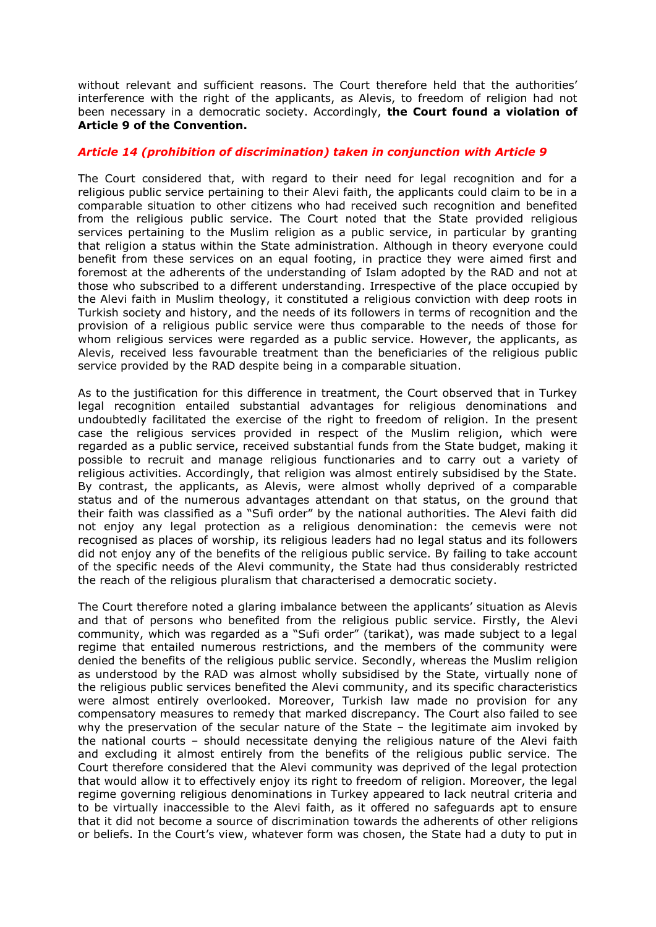without relevant and sufficient reasons. The Court therefore held that the authorities' interference with the right of the applicants, as Alevis, to freedom of religion had not been necessary in a democratic society. Accordingly, **the Court found a violation of Article 9 of the Convention.** 

### *Article 14 (prohibition of discrimination) taken in conjunction with Article 9*

The Court considered that, with regard to their need for legal recognition and for a religious public service pertaining to their Alevi faith, the applicants could claim to be in a comparable situation to other citizens who had received such recognition and benefited from the religious public service. The Court noted that the State provided religious services pertaining to the Muslim religion as a public service, in particular by granting that religion a status within the State administration. Although in theory everyone could benefit from these services on an equal footing, in practice they were aimed first and foremost at the adherents of the understanding of Islam adopted by the RAD and not at those who subscribed to a different understanding. Irrespective of the place occupied by the Alevi faith in Muslim theology, it constituted a religious conviction with deep roots in Turkish society and history, and the needs of its followers in terms of recognition and the provision of a religious public service were thus comparable to the needs of those for whom religious services were regarded as a public service. However, the applicants, as Alevis, received less favourable treatment than the beneficiaries of the religious public service provided by the RAD despite being in a comparable situation.

As to the justification for this difference in treatment, the Court observed that in Turkey legal recognition entailed substantial advantages for religious denominations and undoubtedly facilitated the exercise of the right to freedom of religion. In the present case the religious services provided in respect of the Muslim religion, which were regarded as a public service, received substantial funds from the State budget, making it possible to recruit and manage religious functionaries and to carry out a variety of religious activities. Accordingly, that religion was almost entirely subsidised by the State. By contrast, the applicants, as Alevis, were almost wholly deprived of a comparable status and of the numerous advantages attendant on that status, on the ground that their faith was classified as a "Sufi order" by the national authorities. The Alevi faith did not enjoy any legal protection as a religious denomination: the cemevis were not recognised as places of worship, its religious leaders had no legal status and its followers did not enjoy any of the benefits of the religious public service. By failing to take account of the specific needs of the Alevi community, the State had thus considerably restricted the reach of the religious pluralism that characterised a democratic society.

The Court therefore noted a glaring imbalance between the applicants' situation as Alevis and that of persons who benefited from the religious public service. Firstly, the Alevi community, which was regarded as a "Sufi order" (tarikat), was made subject to a legal regime that entailed numerous restrictions, and the members of the community were denied the benefits of the religious public service. Secondly, whereas the Muslim religion as understood by the RAD was almost wholly subsidised by the State, virtually none of the religious public services benefited the Alevi community, and its specific characteristics were almost entirely overlooked. Moreover, Turkish law made no provision for any compensatory measures to remedy that marked discrepancy. The Court also failed to see why the preservation of the secular nature of the State – the legitimate aim invoked by the national courts – should necessitate denying the religious nature of the Alevi faith and excluding it almost entirely from the benefits of the religious public service. The Court therefore considered that the Alevi community was deprived of the legal protection that would allow it to effectively enjoy its right to freedom of religion. Moreover, the legal regime governing religious denominations in Turkey appeared to lack neutral criteria and to be virtually inaccessible to the Alevi faith, as it offered no safeguards apt to ensure that it did not become a source of discrimination towards the adherents of other religions or beliefs. In the Court's view, whatever form was chosen, the State had a duty to put in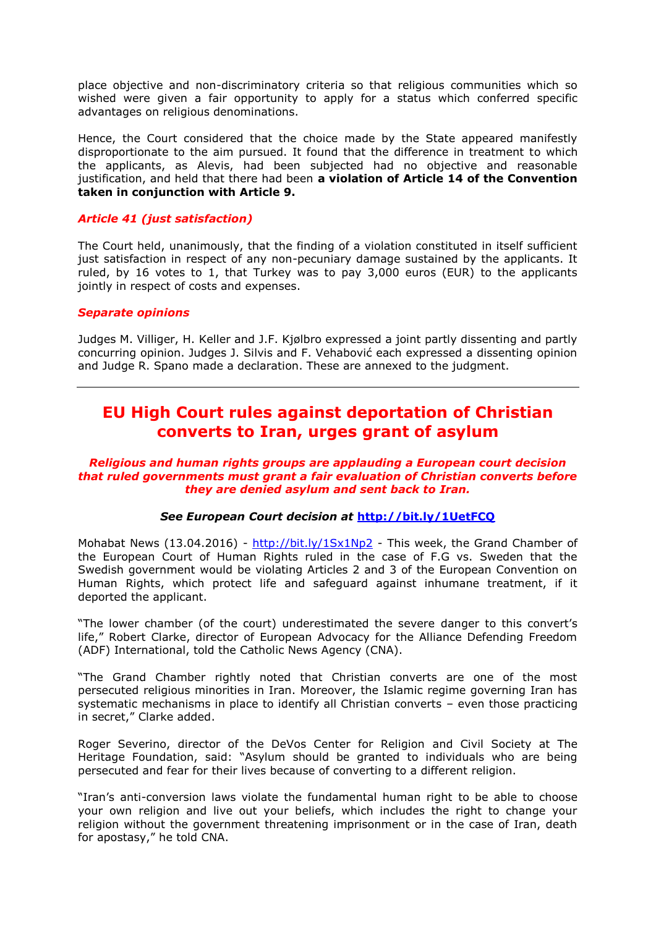place objective and non-discriminatory criteria so that religious communities which so wished were given a fair opportunity to apply for a status which conferred specific advantages on religious denominations.

Hence, the Court considered that the choice made by the State appeared manifestly disproportionate to the aim pursued. It found that the difference in treatment to which the applicants, as Alevis, had been subjected had no objective and reasonable justification, and held that there had been **a violation of Article 14 of the Convention taken in conjunction with Article 9.** 

# *Article 41 (just satisfaction)*

The Court held, unanimously, that the finding of a violation constituted in itself sufficient just satisfaction in respect of any non-pecuniary damage sustained by the applicants. It ruled, by 16 votes to 1, that Turkey was to pay 3,000 euros (EUR) to the applicants jointly in respect of costs and expenses.

### *Separate opinions*

Judges M. Villiger, H. Keller and J.F. Kjølbro expressed a joint partly dissenting and partly concurring opinion. Judges J. Silvis and F. Vehabović each expressed a dissenting opinion and Judge R. Spano made a declaration. These are annexed to the judgment.

# <span id="page-5-0"></span>**EU High Court rules against deportation of Christian converts to Iran, urges grant of asylum**

#### *Religious and human rights groups are applauding a European court decision that ruled governments must grant a fair evaluation of Christian converts before they are denied asylum and sent back to Iran.*

### *See European Court decision at* **<http://bit.ly/1UetFCQ>**

Mohabat News (13.04.2016) - <http://bit.ly/1Sx1Np2> - This week, the Grand Chamber of the European Court of Human Rights ruled in the case of F.G vs. Sweden that the Swedish government would be violating Articles 2 and 3 of the European Convention on Human Rights, which protect life and safeguard against inhumane treatment, if it deported the applicant.

"The lower chamber (of the court) underestimated the severe danger to this convert's life," Robert Clarke, director of European Advocacy for the Alliance Defending Freedom (ADF) International, told the Catholic News Agency (CNA).

"The Grand Chamber rightly noted that Christian converts are one of the most persecuted religious minorities in Iran. Moreover, the Islamic regime governing Iran has systematic mechanisms in place to identify all Christian converts – even those practicing in secret," Clarke added.

Roger Severino, director of the DeVos Center for Religion and Civil Society at The Heritage Foundation, said: "Asylum should be granted to individuals who are being persecuted and fear for their lives because of converting to a different religion.

"Iran's anti-conversion laws violate the fundamental human right to be able to choose your own religion and live out your beliefs, which includes the right to change your religion without the government threatening imprisonment or in the case of Iran, death for apostasy," he told CNA.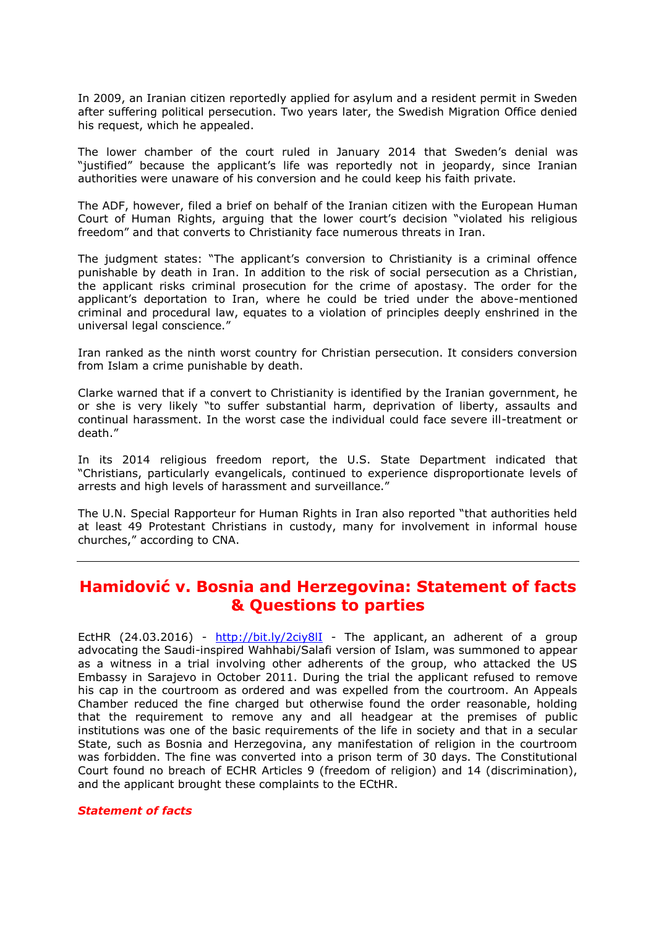In 2009, an Iranian citizen reportedly applied for asylum and a resident permit in Sweden after suffering political persecution. Two years later, the Swedish Migration Office denied his request, which he appealed.

The lower chamber of the court ruled in January 2014 that Sweden's denial was "justified" because the applicant's life was reportedly not in jeopardy, since Iranian authorities were unaware of his conversion and he could keep his faith private.

The ADF, however, filed a brief on behalf of the Iranian citizen with the European Human Court of Human Rights, arguing that the lower court's decision "violated his religious freedom" and that converts to Christianity face numerous threats in Iran.

The judgment states: "The applicant's conversion to Christianity is a criminal offence punishable by death in Iran. In addition to the risk of social persecution as a Christian, the applicant risks criminal prosecution for the crime of apostasy. The order for the applicant's deportation to Iran, where he could be tried under the above-mentioned criminal and procedural law, equates to a violation of principles deeply enshrined in the universal legal conscience."

Iran ranked as the ninth worst country for Christian persecution. It considers conversion from Islam a crime punishable by death.

Clarke warned that if a convert to Christianity is identified by the Iranian government, he or she is very likely "to suffer substantial harm, deprivation of liberty, assaults and continual harassment. In the worst case the individual could face severe ill-treatment or death."

In its 2014 religious freedom report, the U.S. State Department indicated that "Christians, particularly evangelicals, continued to experience disproportionate levels of arrests and high levels of harassment and surveillance."

The U.N. Special Rapporteur for Human Rights in Iran also reported "that authorities held at least 49 Protestant Christians in custody, many for involvement in informal house churches," according to CNA.

# <span id="page-6-0"></span>**Hamidović v. Bosnia and Herzegovina: Statement of facts & Questions to parties**

EctHR (24.03.2016) - <http://bit.ly/2ciy8lI> - The applicant, an adherent of a group advocating the Saudi-inspired Wahhabi/Salafi version of Islam, was summoned to appear as a witness in a trial involving other adherents of the group, who attacked the US Embassy in Sarajevo in October 2011. During the trial the applicant refused to remove his cap in the courtroom as ordered and was expelled from the courtroom. An Appeals Chamber reduced the fine charged but otherwise found the order reasonable, holding that the requirement to remove any and all headgear at the premises of public institutions was one of the basic requirements of the life in society and that in a secular State, such as Bosnia and Herzegovina, any manifestation of religion in the courtroom was forbidden. The fine was converted into a prison term of 30 days. The Constitutional Court found no breach of ECHR Articles 9 (freedom of religion) and 14 (discrimination), and the applicant brought these complaints to the ECtHR.

#### *Statement of facts*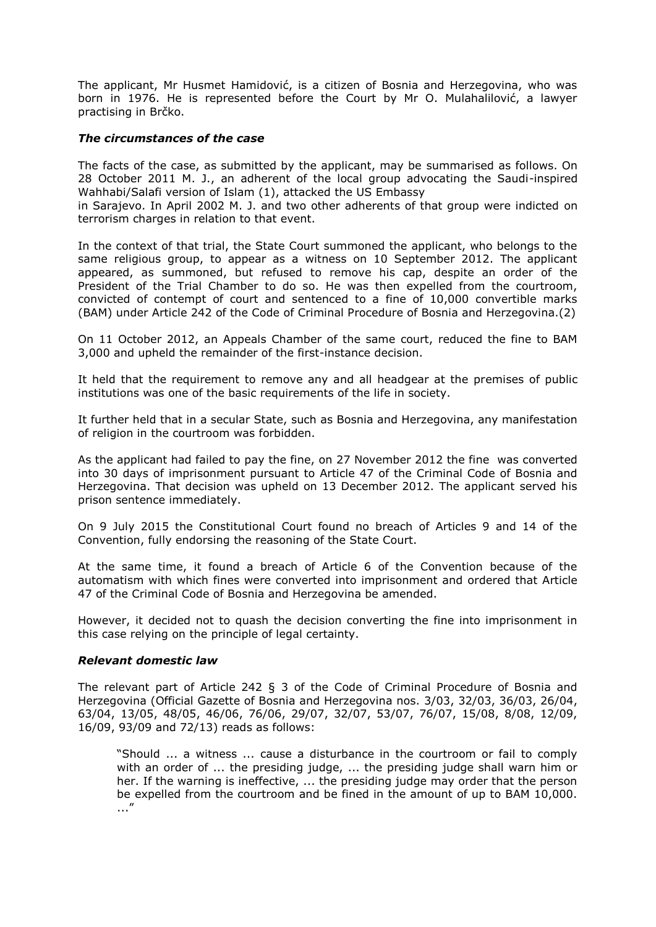The applicant, Mr Husmet Hamidović, is a citizen of Bosnia and Herzegovina, who was born in 1976. He is represented before the Court by Mr O. Mulahalilović, a lawyer practising in Brčko.

#### *The circumstances of the case*

The facts of the case, as submitted by the applicant, may be summarised as follows. On 28 October 2011 M. J., an adherent of the local group advocating the Saudi-inspired Wahhabi/Salafi version of Islam (1), attacked the US Embassy

in Sarajevo. In April 2002 M. J. and two other adherents of that group were indicted on terrorism charges in relation to that event.

In the context of that trial, the State Court summoned the applicant, who belongs to the same religious group, to appear as a witness on 10 September 2012. The applicant appeared, as summoned, but refused to remove his cap, despite an order of the President of the Trial Chamber to do so. He was then expelled from the courtroom, convicted of contempt of court and sentenced to a fine of 10,000 convertible marks (BAM) under Article 242 of the Code of Criminal Procedure of Bosnia and Herzegovina.(2)

On 11 October 2012, an Appeals Chamber of the same court, reduced the fine to BAM 3,000 and upheld the remainder of the first-instance decision.

It held that the requirement to remove any and all headgear at the premises of public institutions was one of the basic requirements of the life in society.

It further held that in a secular State, such as Bosnia and Herzegovina, any manifestation of religion in the courtroom was forbidden.

As the applicant had failed to pay the fine, on 27 November 2012 the fine was converted into 30 days of imprisonment pursuant to Article 47 of the Criminal Code of Bosnia and Herzegovina. That decision was upheld on 13 December 2012. The applicant served his prison sentence immediately.

On 9 July 2015 the Constitutional Court found no breach of Articles 9 and 14 of the Convention, fully endorsing the reasoning of the State Court.

At the same time, it found a breach of Article 6 of the Convention because of the automatism with which fines were converted into imprisonment and ordered that Article 47 of the Criminal Code of Bosnia and Herzegovina be amended.

However, it decided not to quash the decision converting the fine into imprisonment in this case relying on the principle of legal certainty.

#### *Relevant domestic law*

The relevant part of Article 242 § 3 of the Code of Criminal Procedure of Bosnia and Herzegovina (Official Gazette of Bosnia and Herzegovina nos. 3/03, 32/03, 36/03, 26/04, 63/04, 13/05, 48/05, 46/06, 76/06, 29/07, 32/07, 53/07, 76/07, 15/08, 8/08, 12/09, 16/09, 93/09 and 72/13) reads as follows:

"Should ... a witness ... cause a disturbance in the courtroom or fail to comply with an order of ... the presiding judge, ... the presiding judge shall warn him or her. If the warning is ineffective, ... the presiding judge may order that the person be expelled from the courtroom and be fined in the amount of up to BAM 10,000. ..."